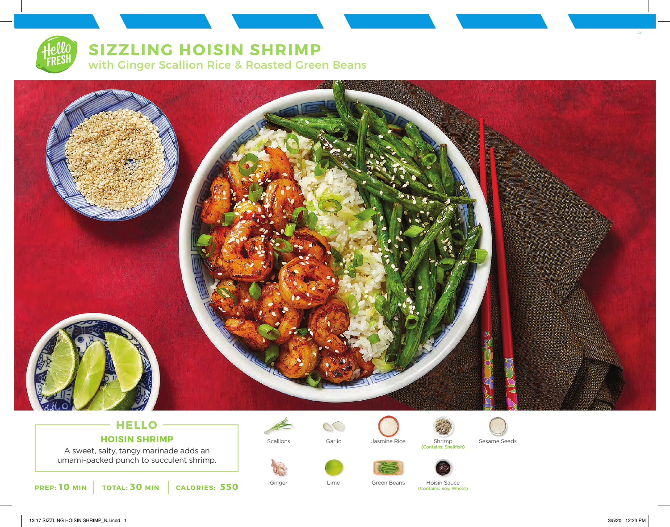# **SIZZLING HOISIN SHRIMP**

with Ginger Scallion Rice & Roasted Green Beans



# **HELLO HOISIN SHRIMP**

A sweet, salty, tangy marinade adds an umami-packed punch to succulent shrimp.



















Ginger Lime Green Beans Hoisin Sauce (Contains: Soy, Wheat)



17